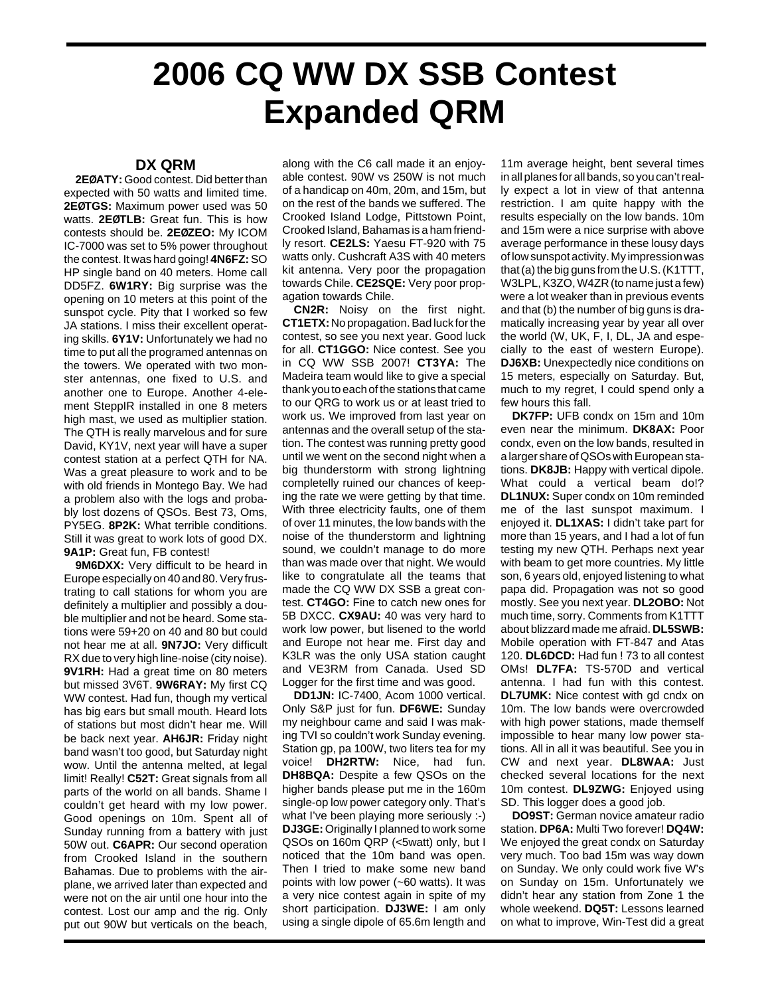## **2006 CQ WW DX SSB Contest Expanded QRM**

## **DX QRM**

**2EØATY:** Good contest. Did better than expected with 50 watts and limited time. **2EØTGS:** Maximum power used was 50 watts. **2EØTLB:** Great fun. This is how contests should be. **2EØZEO:** My ICOM IC-7000 was set to 5% power throughout the contest. It was hard going! **4N6FZ:** SO HP single band on 40 meters. Home call DD5FZ. **6W1RY:** Big surprise was the opening on 10 meters at this point of the sunspot cycle. Pity that I worked so few JA stations. I miss their excellent operating skills. **6Y1V:** Unfortunately we had no time to put all the programed antennas on the towers. We operated with two monster antennas, one fixed to U.S. and another one to Europe. Another 4-element SteppIR installed in one 8 meters high mast, we used as multiplier station. The QTH is really marvelous and for sure David, KY1V, next year will have a super contest station at a perfect QTH for NA. Was a great pleasure to work and to be with old friends in Montego Bay. We had a problem also with the logs and probably lost dozens of QSOs. Best 73, Oms, PY5EG. **8P2K:** What terrible conditions. Still it was great to work lots of good DX. **9A1P:** Great fun, FB contest!

**9M6DXX:** Very difficult to be heard in Europe especially on 40 and 80. Very frustrating to call stations for whom you are definitely a multiplier and possibly a double multiplier and not be heard. Some stations were 59+20 on 40 and 80 but could not hear me at all. **9N7JO:** Very difficult RX due to very high line-noise (city noise). **9V1RH:** Had a great time on 80 meters but missed 3V6T. **9W6RAY:** My first CQ WW contest. Had fun, though my vertical has big ears but small mouth. Heard lots of stations but most didn't hear me. Will be back next year. **AH6JR:** Friday night band wasn't too good, but Saturday night wow. Until the antenna melted, at legal limit! Really! **C52T:** Great signals from all parts of the world on all bands. Shame I couldn't get heard with my low power. Good openings on 10m. Spent all of Sunday running from a battery with just 50W out. **C6APR:** Our second operation from Crooked Island in the southern Bahamas. Due to problems with the airplane, we arrived later than expected and were not on the air until one hour into the contest. Lost our amp and the rig. Only put out 90W but verticals on the beach, along with the C6 call made it an enjoyable contest. 90W vs 250W is not much of a handicap on 40m, 20m, and 15m, but on the rest of the bands we suffered. The Crooked Island Lodge, Pittstown Point, Crooked Island, Bahamas is a ham friendly resort. **CE2LS:** Yaesu FT-920 with 75 watts only. Cushcraft A3S with 40 meters kit antenna. Very poor the propagation towards Chile. **CE2SQE:** Very poor propagation towards Chile.

**CN2R:** Noisy on the first night. **CT1ETX:**No propagation. Bad luck for the contest, so see you next year. Good luck for all. **CT1GGO:** Nice contest. See you in CQ WW SSB 2007! **CT3YA:** The Madeira team would like to give a special thank you to each of the stations that came to our QRG to work us or at least tried to work us. We improved from last year on antennas and the overall setup of the station. The contest was running pretty good until we went on the second night when a big thunderstorm with strong lightning completelly ruined our chances of keeping the rate we were getting by that time. With three electricity faults, one of them of over 11 minutes, the low bands with the noise of the thunderstorm and lightning sound, we couldn't manage to do more than was made over that night. We would like to congratulate all the teams that made the CQ WW DX SSB a great contest. **CT4GO:** Fine to catch new ones for 5B DXCC. **CX9AU:** 40 was very hard to work low power, but lisened to the world and Europe not hear me. First day and K3LR was the only USA station caught and VE3RM from Canada. Used SD Logger for the first time and was good.

**DD1JN:** IC-7400, Acom 1000 vertical. Only S&P just for fun. **DF6WE:** Sunday my neighbour came and said I was making TVI so couldn't work Sunday evening. Station gp, pa 100W, two liters tea for my voice! **DH2RTW:** Nice, had fun. **DH8BQA:** Despite a few QSOs on the higher bands please put me in the 160m single-op low power category only. That's what I've been playing more seriously :-) **DJ3GE:** Originally I planned to work some QSOs on 160m QRP (<5watt) only, but I noticed that the 10m band was open. Then I tried to make some new band points with low power (~60 watts). It was a very nice contest again in spite of my short participation. **DJ3WE:** I am only using a single dipole of 65.6m length and

11m average height, bent several times in all planes for all bands, so you can't really expect a lot in view of that antenna restriction. I am quite happy with the results especially on the low bands. 10m and 15m were a nice surprise with above average performance in these lousy days of low sunspot activity. My impression was that (a) the big guns from the U.S. (K1TTT, W3LPL, K3ZO, W4ZR (to name just a few) were a lot weaker than in previous events and that (b) the number of big guns is dramatically increasing year by year all over the world (W, UK, F, I, DL, JA and especially to the east of western Europe). **DJ6XB:** Unexpectedly nice conditions on 15 meters, especially on Saturday. But, much to my regret, I could spend only a few hours this fall.

**DK7FP:** UFB condx on 15m and 10m even near the minimum. **DK8AX:** Poor condx, even on the low bands, resulted in a larger share of QSOs with European stations. **DK8JB:** Happy with vertical dipole. What could a vertical beam do!? **DL1NUX:** Super condx on 10m reminded me of the last sunspot maximum. I enjoyed it. **DL1XAS:** I didn't take part for more than 15 years, and I had a lot of fun testing my new QTH. Perhaps next year with beam to get more countries. My little son, 6 years old, enjoyed listening to what papa did. Propagation was not so good mostly. See you next year. **DL2OBO:** Not much time, sorry. Comments from K1TTT about blizzard made me afraid. **DL5SWB:** Mobile operation with FT-847 and Atas 120. **DL6DCD:** Had fun ! 73 to all contest OMs! **DL7FA:** TS-570D and vertical antenna. I had fun with this contest. **DL7UMK:** Nice contest with gd cndx on 10m. The low bands were overcrowded with high power stations, made themself impossible to hear many low power stations. All in all it was beautiful. See you in CW and next year. **DL8WAA:** Just checked several locations for the next 10m contest. **DL9ZWG:** Enjoyed using SD. This logger does a good job.

**DO9ST:** German novice amateur radio station. **DP6A:** Multi Two forever! **DQ4W:** We enjoyed the great condx on Saturday very much. Too bad 15m was way down on Sunday. We only could work five W's on Sunday on 15m. Unfortunately we didn't hear any station from Zone 1 the whole weekend. **DQ5T:** Lessons learned on what to improve, Win-Test did a great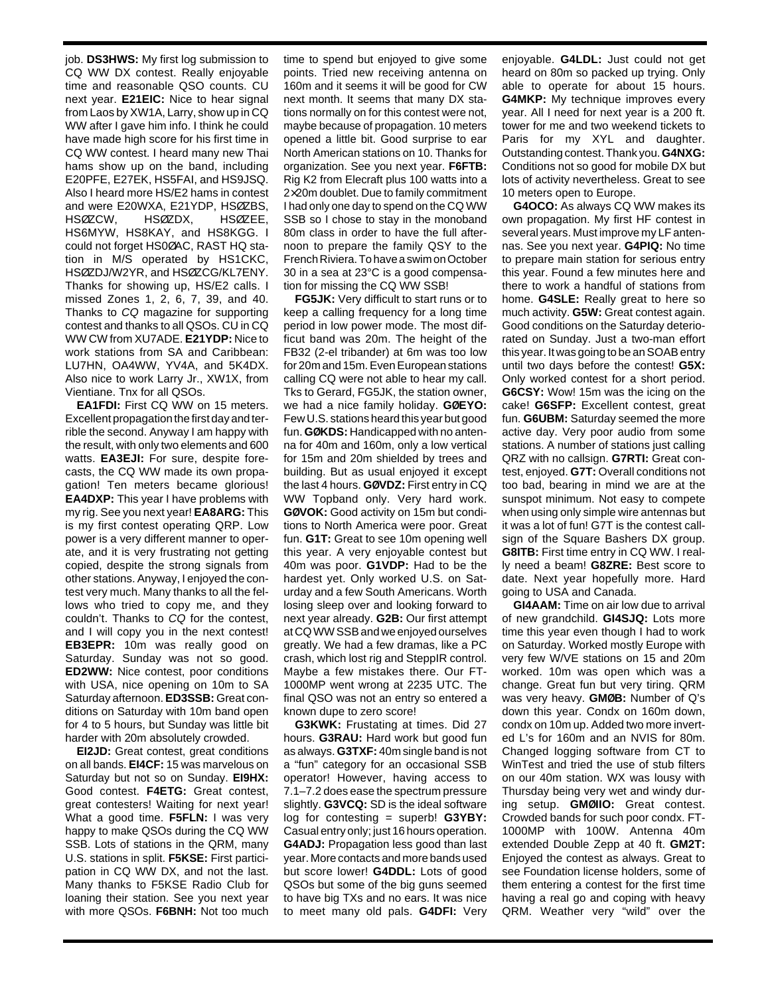job. **DS3HWS:** My first log submission to CQ WW DX contest. Really enjoyable time and reasonable QSO counts. CU next year. **E21EIC:** Nice to hear signal from Laos by XW1A, Larry, show up in CQ WW after I gave him info. I think he could have made high score for his first time in CQ WW contest. I heard many new Thai hams show up on the band, including E20PFE, E27EK, HS5FAI, and HS9JSQ. Also I heard more HS/E2 hams in contest and were E20WXA, E21YDP, HSØZBS, HSØZCW, HSØZDX, HSØZEE, HS6MYW, HS8KAY, and HS8KGG. I could not forget HS0ØAC, RAST HQ station in M/S operated by HS1CKC, HSØZDJ/W2YR, and HSØZCG/KL7ENY. Thanks for showing up, HS/E2 calls. I missed Zones 1, 2, 6, 7, 39, and 40. Thanks to CQ magazine for supporting contest and thanks to all QSOs. CU in CQ WW CW from XU7ADE. **E21YDP:** Nice to work stations from SA and Caribbean: LU7HN, OA4WW, YV4A, and 5K4DX. Also nice to work Larry Jr., XW1X, from Vientiane. Tnx for all QSOs.

**EA1FDI:** First CQ WW on 15 meters. Excellent propagation the first day and terrible the second. Anyway I am happy with the result, with only two elements and 600 watts. **EA3EJI:** For sure, despite forecasts, the CQ WW made its own propagation! Ten meters became glorious! **EA4DXP:** This year I have problems with my rig. See you next year! **EA8ARG:** This is my first contest operating QRP. Low power is a very different manner to operate, and it is very frustrating not getting copied, despite the strong signals from other stations. Anyway, I enjoyed the contest very much. Many thanks to all the fellows who tried to copy me, and they couldn't. Thanks to CQ for the contest, and I will copy you in the next contest! **EB3EPR:** 10m was really good on Saturday. Sunday was not so good. **ED2WW:** Nice contest, poor conditions with USA, nice opening on 10m to SA Saturday afternoon. **ED3SSB:** Great conditions on Saturday with 10m band open for 4 to 5 hours, but Sunday was little bit harder with 20m absolutely crowded.

**EI2JD:** Great contest, great conditions on all bands. **EI4CF:** 15 was marvelous on Saturday but not so on Sunday. **EI9HX:** Good contest. **F4ETG:** Great contest, great contesters! Waiting for next year! What a good time. **F5FLN:** I was very happy to make QSOs during the CQ WW SSB. Lots of stations in the QRM, many U.S. stations in split. **F5KSE:** First participation in CQ WW DX, and not the last. Many thanks to F5KSE Radio Club for loaning their station. See you next year with more QSOs. **F6BNH:** Not too much time to spend but enjoyed to give some points. Tried new receiving antenna on 160m and it seems it will be good for CW next month. It seems that many DX stations normally on for this contest were not, maybe because of propagation. 10 meters opened a little bit. Good surprise to ear North American stations on 10. Thanks for organization. See you next year. **F6FTB:** Rig K2 from Elecraft plus 100 watts into a 2×20m doublet. Due to family commitment I had only one day to spend on the CQ WW SSB so I chose to stay in the monoband 80m class in order to have the full afternoon to prepare the family QSY to the French Riviera. To have a swim on October 30 in a sea at 23°C is a good compensation for missing the CQ WW SSB!

**FG5JK:** Very difficult to start runs or to keep a calling frequency for a long time period in low power mode. The most difficut band was 20m. The height of the FB32 (2-el tribander) at 6m was too low for 20m and 15m. Even European stations calling CQ were not able to hear my call. Tks to Gerard, FG5JK, the station owner, we had a nice family holiday. **GØEYO:** Few U.S. stations heard this year but good fun. **GØKDS:** Handicapped with no antenna for 40m and 160m, only a low vertical for 15m and 20m shielded by trees and building. But as usual enjoyed it except the last 4 hours. **GØVDZ:** First entry in CQ WW Topband only. Very hard work. **GØVOK:** Good activity on 15m but conditions to North America were poor. Great fun. **G1T:** Great to see 10m opening well this year. A very enjoyable contest but 40m was poor. **G1VDP:** Had to be the hardest yet. Only worked U.S. on Saturday and a few South Americans. Worth losing sleep over and looking forward to next year already. **G2B:** Our first attempt at CQ WW SSB and we enjoyed ourselves greatly. We had a few dramas, like a PC crash, which lost rig and SteppIR control. Maybe a few mistakes there. Our FT-1000MP went wrong at 2235 UTC. The final QSO was not an entry so entered a known dupe to zero score!

**G3KWK:** Frustating at times. Did 27 hours. **G3RAU:** Hard work but good fun as always. **G3TXF:** 40m single band is not a "fun" category for an occasional SSB operator! However, having access to 7.1–7.2 does ease the spectrum pressure slightly. **G3VCQ:** SD is the ideal software log for contesting = superb! **G3YBY:** Casual entry only; just 16 hours operation. **G4ADJ:** Propagation less good than last year. More contacts and more bands used but score lower! **G4DDL:** Lots of good QSOs but some of the big guns seemed to have big TXs and no ears. It was nice to meet many old pals. **G4DFI:** Very enjoyable. **G4LDL:** Just could not get heard on 80m so packed up trying. Only able to operate for about 15 hours. **G4MKP:** My technique improves every year. All I need for next year is a 200 ft. tower for me and two weekend tickets to Paris for my XYL and daughter. Outstanding contest. Thank you. **G4NXG:** Conditions not so good for mobile DX but lots of activity nevertheless. Great to see 10 meters open to Europe.

**G4OCO:** As always CQ WW makes its own propagation. My first HF contest in several years. Must improve my LF antennas. See you next year. **G4PIQ:** No time to prepare main station for serious entry this year. Found a few minutes here and there to work a handful of stations from home. **G4SLE:** Really great to here so much activity. **G5W:** Great contest again. Good conditions on the Saturday deteriorated on Sunday. Just a two-man effort this year. It was going to be an SOAB entry until two days before the contest! **G5X:** Only worked contest for a short period. **G6CSY:** Wow! 15m was the icing on the cake! **G6SFP:** Excellent contest, great fun. **G6UBM:** Saturday seemed the more active day. Very poor audio from some stations. A number of stations just calling QRZ with no callsign. **G7RTI:** Great contest, enjoyed. **G7T:** Overall conditions not too bad, bearing in mind we are at the sunspot minimum. Not easy to compete when using only simple wire antennas but it was a lot of fun! G7T is the contest callsign of the Square Bashers DX group. **G8ITB:** First time entry in CQ WW. I really need a beam! **G8ZRE:** Best score to date. Next year hopefully more. Hard going to USA and Canada.

**GI4AAM:** Time on air low due to arrival of new grandchild. **GI4SJQ:** Lots more time this year even though I had to work on Saturday. Worked mostly Europe with very few W/VE stations on 15 and 20m worked. 10m was open which was a change. Great fun but very tiring. QRM was very heavy. **GMØB:** Number of Q's down this year. Condx on 160m down, condx on 10m up. Added two more inverted L's for 160m and an NVIS for 80m. Changed logging software from CT to WinTest and tried the use of stub filters on our 40m station. WX was lousy with Thursday being very wet and windy during setup. **GMØIIO:** Great contest. Crowded bands for such poor condx. FT-1000MP with 100W. Antenna 40m extended Double Zepp at 40 ft. **GM2T:** Enjoyed the contest as always. Great to see Foundation license holders, some of them entering a contest for the first time having a real go and coping with heavy QRM. Weather very "wild" over the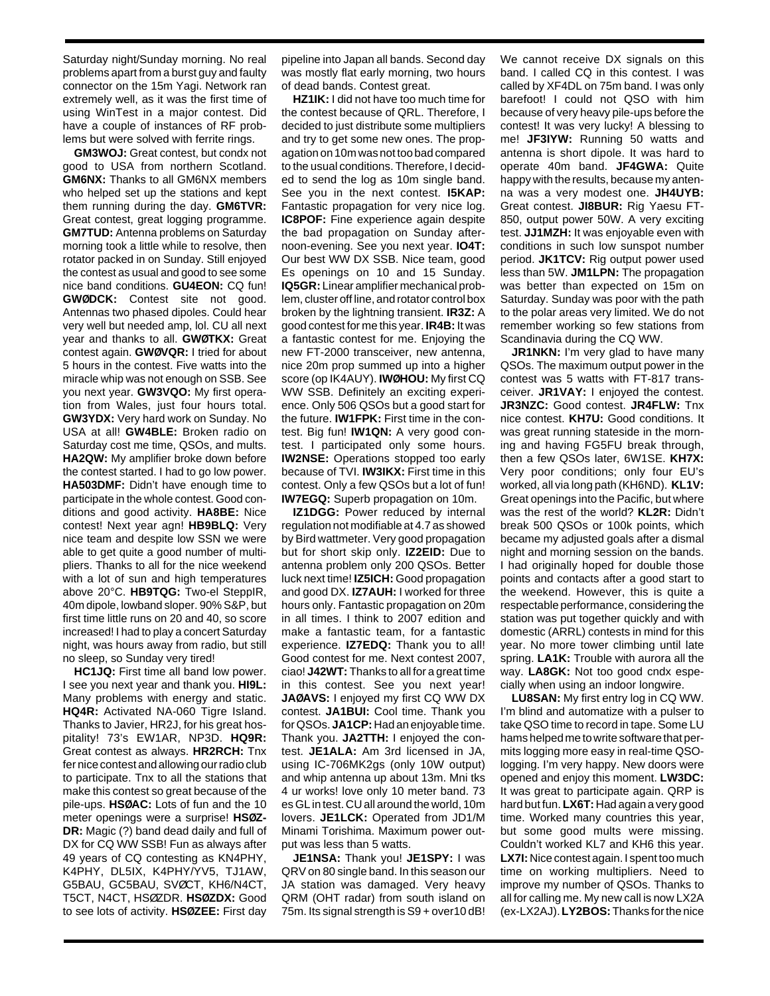Saturday night/Sunday morning. No real problems apart from a burst guy and faulty connector on the 15m Yagi. Network ran extremely well, as it was the first time of using WinTest in a major contest. Did have a couple of instances of RF problems but were solved with ferrite rings.

**GM3WOJ:** Great contest, but condx not good to USA from northern Scotland. **GM6NX:** Thanks to all GM6NX members who helped set up the stations and kept them running during the day. **GM6TVR:** Great contest, great logging programme. **GM7TUD:** Antenna problems on Saturday morning took a little while to resolve, then rotator packed in on Sunday. Still enjoyed the contest as usual and good to see some nice band conditions. **GU4EON:** CQ fun! **GWØDCK:** Contest site not good. Antennas two phased dipoles. Could hear very well but needed amp, lol. CU all next year and thanks to all. **GWØTKX:** Great contest again. **GWØVQR:** I tried for about 5 hours in the contest. Five watts into the miracle whip was not enough on SSB. See you next year. **GW3VQO:** My first operation from Wales, just four hours total. **GW3YDX:** Very hard work on Sunday. No USA at all! **GW4BLE:** Broken radio on Saturday cost me time, QSOs, and mults. **HA2QW:** My amplifier broke down before the contest started. I had to go low power. **HA503DMF:** Didn't have enough time to participate in the whole contest. Good conditions and good activity. **HA8BE:** Nice contest! Next year agn! **HB9BLQ:** Very nice team and despite low SSN we were able to get quite a good number of multipliers. Thanks to all for the nice weekend with a lot of sun and high temperatures above 20°C. **HB9TQG:** Two-el SteppIR, 40m dipole, lowband sloper. 90% S&P, but first time little runs on 20 and 40, so score increased! I had to play a concert Saturday night, was hours away from radio, but still no sleep, so Sunday very tired!

**HC1JQ:** First time all band low power. I see you next year and thank you. **HI9L:** Many problems with energy and static. **HQ4R:** Activated NA-060 Tigre Island. Thanks to Javier, HR2J, for his great hospitality! 73's EW1AR, NP3D. **HQ9R:** Great contest as always. **HR2RCH:** Tnx fer nice contest and allowing our radio club to participate. Tnx to all the stations that make this contest so great because of the pile-ups. **HSØAC:** Lots of fun and the 10 meter openings were a surprise! **HSØZ-DR:** Magic (?) band dead daily and full of DX for CQ WW SSB! Fun as always after 49 years of CQ contesting as KN4PHY, K4PHY, DL5IX, K4PHY/YV5, TJ1AW, G5BAU, GC5BAU, SVØCT, KH6/N4CT, T5CT, N4CT, HSØZDR. **HSØZDX:** Good to see lots of activity. **HSØZEE:** First day pipeline into Japan all bands. Second day was mostly flat early morning, two hours of dead bands. Contest great.

**HZ1IK:** I did not have too much time for the contest because of QRL. Therefore, I decided to just distribute some multipliers and try to get some new ones. The propagation on 10m was not too bad compared to the usual conditions. Therefore, I decided to send the log as 10m single band. See you in the next contest. **I5KAP:** Fantastic propagation for very nice log. **IC8POF:** Fine experience again despite the bad propagation on Sunday afternoon-evening. See you next year. **IO4T:** Our best WW DX SSB. Nice team, good Es openings on 10 and 15 Sunday. **IQ5GR:** Linear amplifier mechanical problem, cluster off line, and rotator control box broken by the lightning transient. **IR3Z:** A good contest for me this year. **IR4B:**It was a fantastic contest for me. Enjoying the new FT-2000 transceiver, new antenna, nice 20m prop summed up into a higher score (op IK4AUY). **IWØHOU:** My first CQ WW SSB. Definitely an exciting experience. Only 506 QSOs but a good start for the future. **IW1FPK:** First time in the contest. Big fun! **IW1QN:** A very good contest. I participated only some hours. **IW2NSE:** Operations stopped too early because of TVI. **IW3IKX:** First time in this contest. Only a few QSOs but a lot of fun! **IW7EGQ:** Superb propagation on 10m.

**IZ1DGG:** Power reduced by internal regulation not modifiable at 4.7 as showed by Bird wattmeter. Very good propagation but for short skip only. **IZ2EID:** Due to antenna problem only 200 QSOs. Better luck next time! **IZ5ICH:** Good propagation and good DX. **IZ7AUH:** I worked for three hours only. Fantastic propagation on 20m in all times. I think to 2007 edition and make a fantastic team, for a fantastic experience. **IZ7EDQ:** Thank you to all! Good contest for me. Next contest 2007, ciao! **J42WT:** Thanks to all for a great time in this contest. See you next year! **JAØAVS:** I enjoyed my first CQ WW DX contest. **JA1BUI:** Cool time. Thank you for QSOs. **JA1CP:** Had an enjoyable time. Thank you. **JA2TTH:** I enjoyed the contest. **JE1ALA:** Am 3rd licensed in JA, using IC-706MK2gs (only 10W output) and whip antenna up about 13m. Mni tks 4 ur works! love only 10 meter band. 73 es GL in test. CU all around the world, 10m lovers. **JE1LCK:** Operated from JD1/M Minami Torishima. Maximum power output was less than 5 watts.

**JE1NSA:** Thank you! **JE1SPY:** I was QRV on 80 single band. In this season our JA station was damaged. Very heavy QRM (OHT radar) from south island on 75m. Its signal strength is S9 + over10 dB! We cannot receive DX signals on this band. I called CQ in this contest. I was called by XF4DL on 75m band. I was only barefoot! I could not QSO with him because of very heavy pile-ups before the contest! It was very lucky! A blessing to me! **JF3IYW:** Running 50 watts and antenna is short dipole. It was hard to operate 40m band. **JF4GWA:** Quite happy with the results, because my antenna was a very modest one. **JH4UYB:** Great contest. **JI8BUR:** Rig Yaesu FT-850, output power 50W. A very exciting test. **JJ1MZH:** It was enjoyable even with conditions in such low sunspot number period. **JK1TCV:** Rig output power used less than 5W. **JM1LPN:** The propagation was better than expected on 15m on Saturday. Sunday was poor with the path to the polar areas very limited. We do not remember working so few stations from Scandinavia during the CQ WW.

**JR1NKN:** I'm very glad to have many QSOs. The maximum output power in the contest was 5 watts with FT-817 transceiver. **JR1VAY:** I enjoyed the contest. **JR3NZC:** Good contest. **JR4FLW:** Tnx nice contest. **KH7U:** Good conditions. It was great running stateside in the morning and having FG5FU break through, then a few QSOs later, 6W1SE. **KH7X:** Very poor conditions; only four EU's worked, all via long path (KH6ND). **KL1V:** Great openings into the Pacific, but where was the rest of the world? **KL2R:** Didn't break 500 QSOs or 100k points, which became my adjusted goals after a dismal night and morning session on the bands. I had originally hoped for double those points and contacts after a good start to the weekend. However, this is quite a respectable performance, considering the station was put together quickly and with domestic (ARRL) contests in mind for this year. No more tower climbing until late spring. **LA1K:** Trouble with aurora all the way. **LA8GK:** Not too good cndx especially when using an indoor longwire.

**LU8SAN:** My first entry log in CQ WW. I'm blind and automatize with a pulser to take QSO time to record in tape. Some LU hams helped me to write software that permits logging more easy in real-time QSOlogging. I'm very happy. New doors were opened and enjoy this moment. **LW3DC:** It was great to participate again. QRP is hard but fun. **LX6T:** Had again a very good time. Worked many countries this year, but some good mults were missing. Couldn't worked KL7 and KH6 this year. **LX7I:** Nice contest again. I spent too much time on working multipliers. Need to improve my number of QSOs. Thanks to all for calling me. My new call is now LX2A (ex-LX2AJ). **LY2BOS:**Thanks for the nice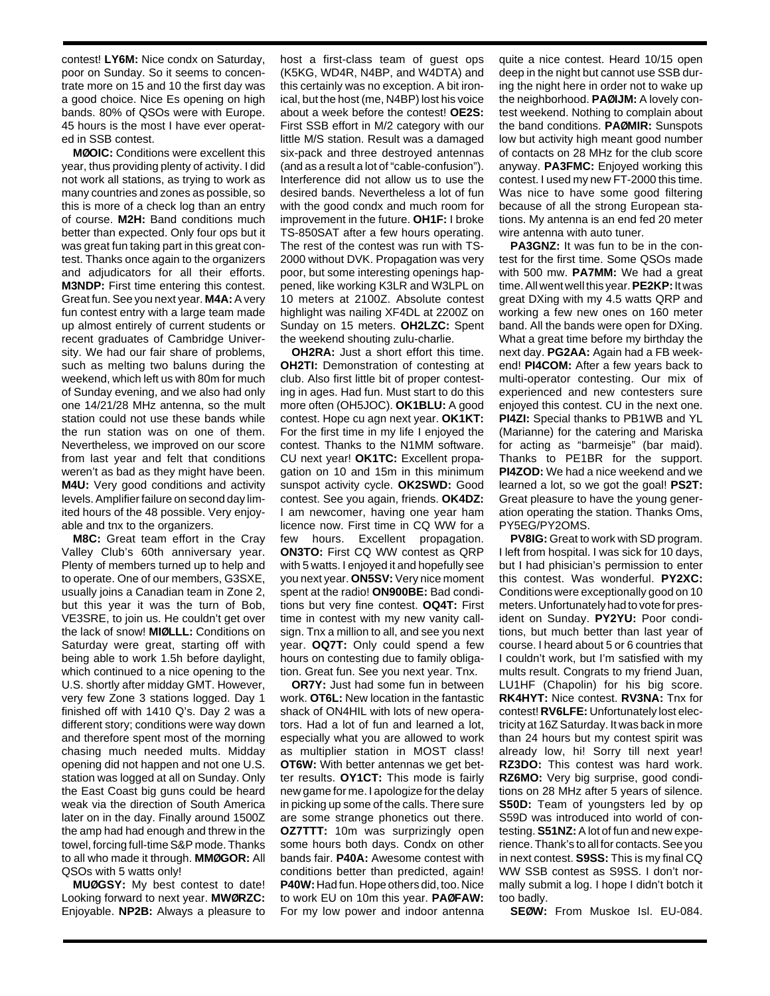contest! **LY6M:** Nice condx on Saturday, poor on Sunday. So it seems to concentrate more on 15 and 10 the first day was a good choice. Nice Es opening on high bands. 80% of QSOs were with Europe. 45 hours is the most I have ever operated in SSB contest.

**MØOIC:** Conditions were excellent this year, thus providing plenty of activity. I did not work all stations, as trying to work as many countries and zones as possible, so this is more of a check log than an entry of course. **M2H:** Band conditions much better than expected. Only four ops but it was great fun taking part in this great contest. Thanks once again to the organizers and adjudicators for all their efforts. **M3NDP:** First time entering this contest. Great fun. See you next year. **M4A:**A very fun contest entry with a large team made up almost entirely of current students or recent graduates of Cambridge University. We had our fair share of problems, such as melting two baluns during the weekend, which left us with 80m for much of Sunday evening, and we also had only one 14/21/28 MHz antenna, so the mult station could not use these bands while the run station was on one of them. Nevertheless, we improved on our score from last year and felt that conditions weren't as bad as they might have been. **M4U:** Very good conditions and activity levels. Amplifier failure on second day limited hours of the 48 possible. Very enjoyable and tnx to the organizers.

**M8C:** Great team effort in the Cray Valley Club's 60th anniversary year. Plenty of members turned up to help and to operate. One of our members, G3SXE, usually joins a Canadian team in Zone 2, but this year it was the turn of Bob, VE3SRE, to join us. He couldn't get over the lack of snow! **MIØLLL:** Conditions on Saturday were great, starting off with being able to work 1.5h before daylight, which continued to a nice opening to the U.S. shortly after midday GMT. However, very few Zone 3 stations logged. Day 1 finished off with 1410 Q's. Day 2 was a different story; conditions were way down and therefore spent most of the morning chasing much needed mults. Midday opening did not happen and not one U.S. station was logged at all on Sunday. Only the East Coast big guns could be heard weak via the direction of South America later on in the day. Finally around 1500Z the amp had had enough and threw in the towel, forcing full-time S&P mode. Thanks to all who made it through. **MMØGOR:** All QSOs with 5 watts only!

**MUØGSY:** My best contest to date! Looking forward to next year. **MWØRZC:** Enjoyable. **NP2B:** Always a pleasure to host a first-class team of guest ops (K5KG, WD4R, N4BP, and W4DTA) and this certainly was no exception. A bit ironical, but the host (me, N4BP) lost his voice about a week before the contest! **OE2S:** First SSB effort in M/2 category with our little M/S station. Result was a damaged six-pack and three destroyed antennas (and as a result a lot of "cable-confusion"). Interference did not allow us to use the desired bands. Nevertheless a lot of fun with the good condx and much room for improvement in the future. **OH1F:** I broke TS-850SAT after a few hours operating. The rest of the contest was run with TS-2000 without DVK. Propagation was very poor, but some interesting openings happened, like working K3LR and W3LPL on 10 meters at 2100Z. Absolute contest highlight was nailing XF4DL at 2200Z on Sunday on 15 meters. **OH2LZC:** Spent the weekend shouting zulu-charlie.

**OH2RA:** Just a short effort this time. **OH2TI:** Demonstration of contesting at club. Also first little bit of proper contesting in ages. Had fun. Must start to do this more often (OH5JOC). **OK1BLU:** A good contest. Hope cu agn next year. **OK1KT:** For the first time in my life I enjoyed the contest. Thanks to the N1MM software. CU next year! **OK1TC:** Excellent propagation on 10 and 15m in this minimum sunspot activity cycle. **OK2SWD:** Good contest. See you again, friends. **OK4DZ:** I am newcomer, having one year ham licence now. First time in CQ WW for a few hours. Excellent propagation. **ON3TO:** First CQ WW contest as QRP with 5 watts. I enjoyed it and hopefully see you next year. **ON5SV:** Very nice moment spent at the radio! **ON900BE:** Bad conditions but very fine contest. **OQ4T:** First time in contest with my new vanity callsign. Tnx a million to all, and see you next year. **OQ7T:** Only could spend a few hours on contesting due to family obligation. Great fun. See you next year. Tnx.

**OR7Y:** Just had some fun in between work. **OT6L:** New location in the fantastic shack of ON4HIL with lots of new operators. Had a lot of fun and learned a lot, especially what you are allowed to work as multiplier station in MOST class! **OT6W:** With better antennas we get better results. **OY1CT:** This mode is fairly new game for me. I apologize for the delay in picking up some of the calls. There sure are some strange phonetics out there. **OZ7TTT:** 10m was surprizingly open some hours both days. Condx on other bands fair. **P40A:** Awesome contest with conditions better than predicted, again! **P40W:**Had fun. Hope others did, too. Nice to work EU on 10m this year. **PAØFAW:** For my low power and indoor antenna

quite a nice contest. Heard 10/15 open deep in the night but cannot use SSB during the night here in order not to wake up the neighborhood. **PAØIJM:** A lovely contest weekend. Nothing to complain about the band conditions. **PAØMIR:** Sunspots low but activity high meant good number of contacts on 28 MHz for the club score anyway. **PA3FMC:** Enjoyed working this contest. I used my new FT-2000 this time. Was nice to have some good filtering because of all the strong European stations. My antenna is an end fed 20 meter wire antenna with auto tuner.

**PA3GNZ:** It was fun to be in the contest for the first time. Some QSOs made with 500 mw. **PA7MM:** We had a great time. All went well this year. **PE2KP:**It was great DXing with my 4.5 watts QRP and working a few new ones on 160 meter band. All the bands were open for DXing. What a great time before my birthday the next day. **PG2AA:** Again had a FB weekend! **PI4COM:** After a few years back to multi-operator contesting. Our mix of experienced and new contesters sure enjoyed this contest. CU in the next one. **PI4ZI:** Special thanks to PB1WB and YL (Marianne) for the catering and Mariska for acting as "barmeisje" (bar maid). Thanks to PE1BR for the support. **PI4ZOD:** We had a nice weekend and we learned a lot, so we got the goal! **PS2T:** Great pleasure to have the young generation operating the station. Thanks Oms, PY5EG/PY2OMS.

**PV8IG:** Great to work with SD program. I left from hospital. I was sick for 10 days, but I had phisician's permission to enter this contest. Was wonderful. **PY2XC:** Conditions were exceptionally good on 10 meters. Unfortunately had to vote for president on Sunday. **PY2YU:** Poor conditions, but much better than last year of course. I heard about 5 or 6 countries that I couldn't work, but I'm satisfied with my mults result. Congrats to my friend Juan, LU1HF (Chapolin) for his big score. **RK4HYT:** Nice contest. **RV3NA:** Tnx for contest! **RV6LFE:** Unfortunately lost electricity at 16Z Saturday. It was back in more than 24 hours but my contest spirit was already low, hi! Sorry till next year! **RZ3DO:** This contest was hard work. **RZ6MO:** Very big surprise, good conditions on 28 MHz after 5 years of silence. **S50D:** Team of youngsters led by op S59D was introduced into world of contesting. **S51NZ:** A lot of fun and new experience. Thank's to all for contacts. See you in next contest. **S9SS:** This is my final CQ WW SSB contest as S9SS. I don't normally submit a log. I hope I didn't botch it too badly.

**SEØW:** From Muskoe Isl. EU-084.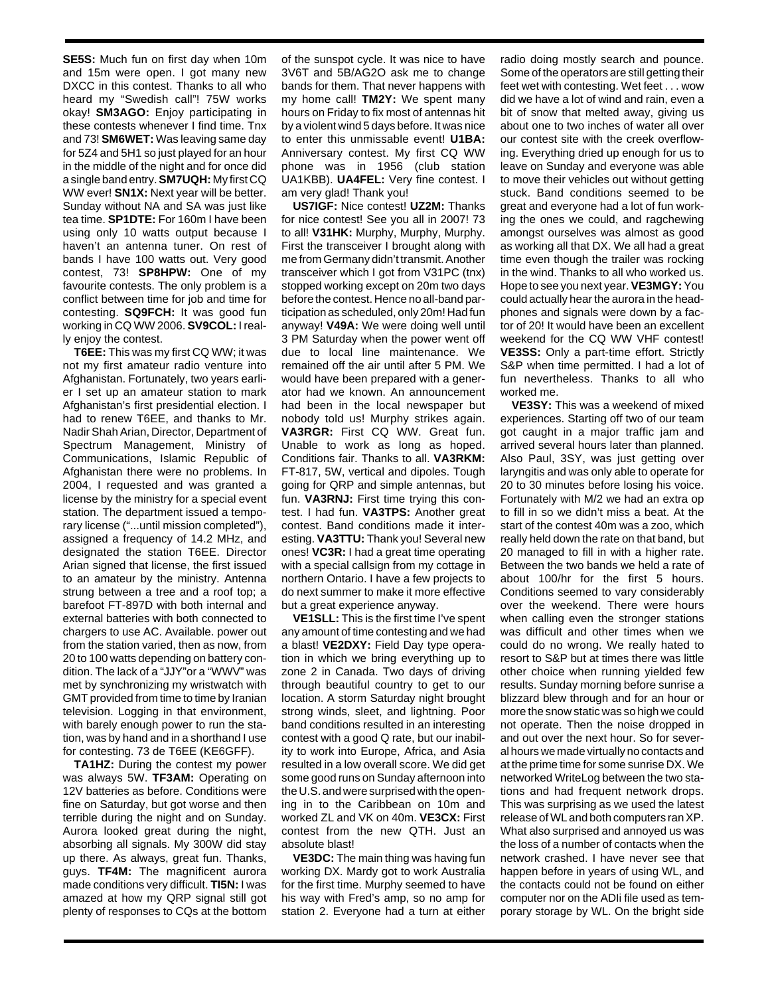**SE5S:** Much fun on first day when 10m and 15m were open. I got many new DXCC in this contest. Thanks to all who heard my "Swedish call"! 75W works okay! **SM3AGO:** Enjoy participating in these contests whenever I find time. Tnx and 73! **SM6WET:** Was leaving same day for 5Z4 and 5H1 so just played for an hour in the middle of the night and for once did a single band entry. **SM7UQH:** My first CQ WW ever! **SN1X:** Next year will be better. Sunday without NA and SA was just like tea time. **SP1DTE:** For 160m I have been using only 10 watts output because I haven't an antenna tuner. On rest of bands I have 100 watts out. Very good contest, 73! **SP8HPW:** One of my favourite contests. The only problem is a conflict between time for job and time for contesting. **SQ9FCH:** It was good fun working in CQ WW 2006. **SV9COL:** I really enjoy the contest.

**T6EE:** This was my first CQ WW; it was not my first amateur radio venture into Afghanistan. Fortunately, two years earlier I set up an amateur station to mark Afghanistan's first presidential election. I had to renew T6EE, and thanks to Mr. Nadir Shah Arian, Director, Department of Spectrum Management, Ministry of Communications, Islamic Republic of Afghanistan there were no problems. In 2004, I requested and was granted a license by the ministry for a special event station. The department issued a temporary license ("...until mission completed"), assigned a frequency of 14.2 MHz, and designated the station T6EE. Director Arian signed that license, the first issued to an amateur by the ministry. Antenna strung between a tree and a roof top; a barefoot FT-897D with both internal and external batteries with both connected to chargers to use AC. Available. power out from the station varied, then as now, from 20 to 100 watts depending on battery condition. The lack of a "JJY"or a "WWV" was met by synchronizing my wristwatch with GMT provided from time to time by Iranian television. Logging in that environment, with barely enough power to run the station, was by hand and in a shorthand I use for contesting. 73 de T6EE (KE6GFF).

**TA1HZ:** During the contest my power was always 5W. **TF3AM:** Operating on 12V batteries as before. Conditions were fine on Saturday, but got worse and then terrible during the night and on Sunday. Aurora looked great during the night, absorbing all signals. My 300W did stay up there. As always, great fun. Thanks, guys. **TF4M:** The magnificent aurora made conditions very difficult. **TI5N:** I was amazed at how my QRP signal still got plenty of responses to CQs at the bottom

of the sunspot cycle. It was nice to have 3V6T and 5B/AG2O ask me to change bands for them. That never happens with my home call! **TM2Y:** We spent many hours on Friday to fix most of antennas hit by a violent wind 5 days before. It was nice to enter this unmissable event! **U1BA:** Anniversary contest. My first CQ WW phone was in 1956 (club station UA1KBB). **UA4FEL:** Very fine contest. I am very glad! Thank you!

**US7IGF:** Nice contest! **UZ2M:** Thanks for nice contest! See you all in 2007! 73 to all! **V31HK:** Murphy, Murphy, Murphy. First the transceiver I brought along with me from Germany didn't transmit. Another transceiver which I got from V31PC (tnx) stopped working except on 20m two days before the contest. Hence no all-band participation as scheduled, only 20m! Had fun anyway! **V49A:** We were doing well until 3 PM Saturday when the power went off due to local line maintenance. We remained off the air until after 5 PM. We would have been prepared with a generator had we known. An announcement had been in the local newspaper but nobody told us! Murphy strikes again. **VA3RGR:** First CQ WW. Great fun. Unable to work as long as hoped. Conditions fair. Thanks to all. **VA3RKM:** FT-817, 5W, vertical and dipoles. Tough going for QRP and simple antennas, but fun. **VA3RNJ:** First time trying this contest. I had fun. **VA3TPS:** Another great contest. Band conditions made it interesting. **VA3TTU:** Thank you! Several new ones! **VC3R:** I had a great time operating with a special callsign from my cottage in northern Ontario. I have a few projects to do next summer to make it more effective but a great experience anyway.

**VE1SLL:** This is the first time I've spent any amount of time contesting and we had a blast! **VE2DXY:** Field Day type operation in which we bring everything up to zone 2 in Canada. Two days of driving through beautiful country to get to our location. A storm Saturday night brought strong winds, sleet, and lightning. Poor band conditions resulted in an interesting contest with a good Q rate, but our inability to work into Europe, Africa, and Asia resulted in a low overall score. We did get some good runs on Sunday afternoon into the U.S. and were surprised with the opening in to the Caribbean on 10m and worked ZL and VK on 40m. **VE3CX:** First contest from the new QTH. Just an absolute blast!

**VE3DC:** The main thing was having fun working DX. Mardy got to work Australia for the first time. Murphy seemed to have his way with Fred's amp, so no amp for station 2. Everyone had a turn at either radio doing mostly search and pounce. Some of the operators are still getting their feet wet with contesting. Wet feet . . . wow did we have a lot of wind and rain, even a bit of snow that melted away, giving us about one to two inches of water all over our contest site with the creek overflowing. Everything dried up enough for us to leave on Sunday and everyone was able to move their vehicles out without getting stuck. Band conditions seemed to be great and everyone had a lot of fun working the ones we could, and ragchewing amongst ourselves was almost as good as working all that DX. We all had a great time even though the trailer was rocking in the wind. Thanks to all who worked us. Hope to see you next year. **VE3MGY:**You could actually hear the aurora in the headphones and signals were down by a factor of 20! It would have been an excellent weekend for the CQ WW VHF contest! **VE3SS:** Only a part-time effort. Strictly S&P when time permitted. I had a lot of fun nevertheless. Thanks to all who worked me.

**VE3SY:** This was a weekend of mixed experiences. Starting off two of our team got caught in a major traffic jam and arrived several hours later than planned. Also Paul, 3SY, was just getting over laryngitis and was only able to operate for 20 to 30 minutes before losing his voice. Fortunately with M/2 we had an extra op to fill in so we didn't miss a beat. At the start of the contest 40m was a zoo, which really held down the rate on that band, but 20 managed to fill in with a higher rate. Between the two bands we held a rate of about 100/hr for the first 5 hours. Conditions seemed to vary considerably over the weekend. There were hours when calling even the stronger stations was difficult and other times when we could do no wrong. We really hated to resort to S&P but at times there was little other choice when running yielded few results. Sunday morning before sunrise a blizzard blew through and for an hour or more the snow static was so high we could not operate. Then the noise dropped in and out over the next hour. So for several hours we made virtually no contacts and at the prime time for some sunrise DX. We networked WriteLog between the two stations and had frequent network drops. This was surprising as we used the latest release of WL and both computers ran XP. What also surprised and annoyed us was the loss of a number of contacts when the network crashed. I have never see that happen before in years of using WL, and the contacts could not be found on either computer nor on the ADIi file used as temporary storage by WL. On the bright side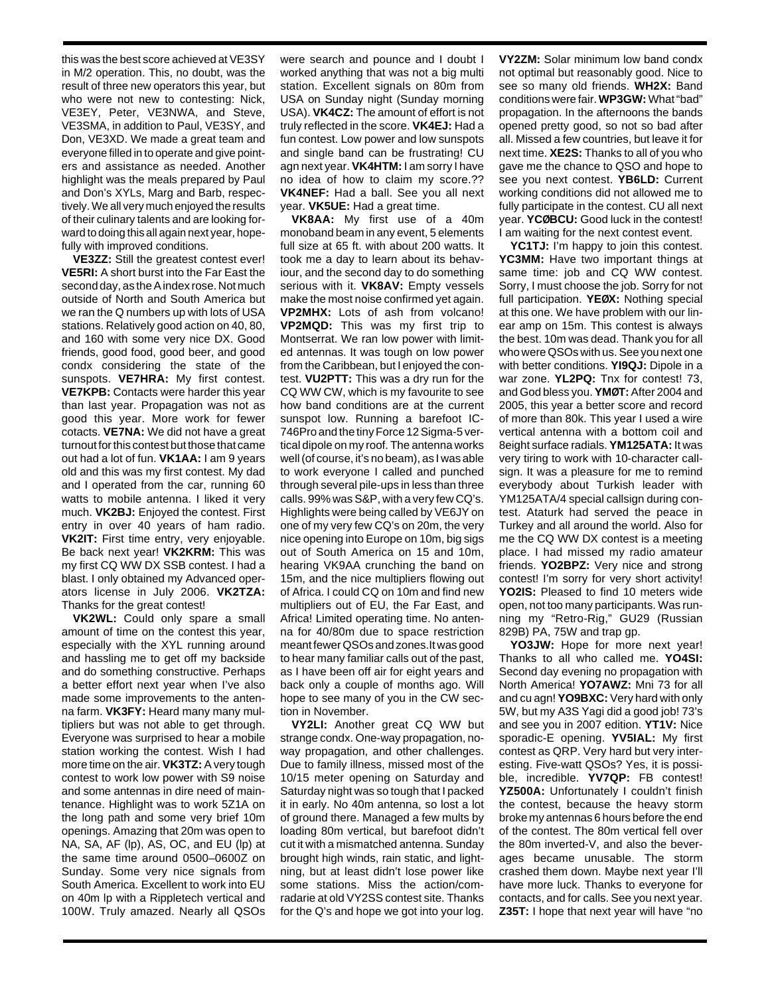this was the best score achieved at VE3SY in M/2 operation. This, no doubt, was the result of three new operators this year, but who were not new to contesting: Nick, VE3EY, Peter, VE3NWA, and Steve, VE3SMA, in addition to Paul, VE3SY, and Don, VE3XD. We made a great team and everyone filled in to operate and give pointers and assistance as needed. Another highlight was the meals prepared by Paul and Don's XYLs, Marg and Barb, respectively. We all very much enjoyed the results of their culinary talents and are looking forward to doing this all again next year, hopefully with improved conditions.

**VE3ZZ:** Still the greatest contest ever! **VE5RI:** A short burst into the Far East the second day, as the A index rose. Not much outside of North and South America but we ran the Q numbers up with lots of USA stations. Relatively good action on 40, 80, and 160 with some very nice DX. Good friends, good food, good beer, and good condx considering the state of the sunspots. **VE7HRA:** My first contest. **VE7KPB:** Contacts were harder this year than last year. Propagation was not as good this year. More work for fewer cotacts. **VE7NA:** We did not have a great turnout for this contest but those that came out had a lot of fun. **VK1AA:** I am 9 years old and this was my first contest. My dad and I operated from the car, running 60 watts to mobile antenna. I liked it very much. **VK2BJ:** Enjoyed the contest. First entry in over 40 years of ham radio. **VK2IT:** First time entry, very enjoyable. Be back next year! **VK2KRM:** This was my first CQ WW DX SSB contest. I had a blast. I only obtained my Advanced operators license in July 2006. **VK2TZA:** Thanks for the great contest!

**VK2WL:** Could only spare a small amount of time on the contest this year, especially with the XYL running around and hassling me to get off my backside and do something constructive. Perhaps a better effort next year when I've also made some improvements to the antenna farm. **VK3FY:** Heard many many multipliers but was not able to get through. Everyone was surprised to hear a mobile station working the contest. Wish I had more time on the air. **VK3TZ:** A very tough contest to work low power with S9 noise and some antennas in dire need of maintenance. Highlight was to work 5Z1A on the long path and some very brief 10m openings. Amazing that 20m was open to NA, SA, AF (lp), AS, OC, and EU (lp) at the same time around 0500–0600Z on Sunday. Some very nice signals from South America. Excellent to work into EU on 40m lp with a Rippletech vertical and 100W. Truly amazed. Nearly all QSOs

were search and pounce and I doubt I worked anything that was not a big multi station. Excellent signals on 80m from USA on Sunday night (Sunday morning USA). **VK4CZ:** The amount of effort is not truly reflected in the score. **VK4EJ:** Had a fun contest. Low power and low sunspots and single band can be frustrating! CU agn next year. **VK4HTM:** I am sorry I have no idea of how to claim my score.?? **VK4NEF:** Had a ball. See you all next year. **VK5UE:** Had a great time.

**VK8AA:** My first use of a 40m monoband beam in any event, 5 elements full size at 65 ft. with about 200 watts. It took me a day to learn about its behaviour, and the second day to do something serious with it. **VK8AV:** Empty vessels make the most noise confirmed yet again. **VP2MHX:** Lots of ash from volcano! **VP2MQD:** This was my first trip to Montserrat. We ran low power with limited antennas. It was tough on low power from the Caribbean, but I enjoyed the contest. **VU2PTT:** This was a dry run for the CQ WW CW, which is my favourite to see how band conditions are at the current sunspot low. Running a barefoot IC-746Pro and the tiny Force 12 Sigma-5 vertical dipole on my roof. The antenna works well (of course, it's no beam), as I was able to work everyone I called and punched through several pile-ups in less than three calls. 99% was S&P, with a very few CQ's. Highlights were being called by VE6JY on one of my very few CQ's on 20m, the very nice opening into Europe on 10m, big sigs out of South America on 15 and 10m, hearing VK9AA crunching the band on 15m, and the nice multipliers flowing out of Africa. I could CQ on 10m and find new multipliers out of EU, the Far East, and Africa! Limited operating time. No antenna for 40/80m due to space restriction meant fewer QSOs and zones.It was good to hear many familiar calls out of the past, as I have been off air for eight years and back only a couple of months ago. Will hope to see many of you in the CW section in November.

**VY2LI:** Another great CQ WW but strange condx. One-way propagation, noway propagation, and other challenges. Due to family illness, missed most of the 10/15 meter opening on Saturday and Saturday night was so tough that I packed it in early. No 40m antenna, so lost a lot of ground there. Managed a few mults by loading 80m vertical, but barefoot didn't cut it with a mismatched antenna. Sunday brought high winds, rain static, and lightning, but at least didn't lose power like some stations. Miss the action/comradarie at old VY2SS contest site. Thanks for the Q's and hope we got into your log.

**VY2ZM:** Solar minimum low band condx not optimal but reasonably good. Nice to see so many old friends. **WH2X:** Band conditions were fair. **WP3GW:**What "bad" propagation. In the afternoons the bands opened pretty good, so not so bad after all. Missed a few countries, but leave it for next time. **XE2S:** Thanks to all of you who gave me the chance to QSO and hope to see you next contest. **YB6LD:** Current working conditions did not allowed me to fully participate in the contest. CU all next year. **YCØBCU:** Good luck in the contest! I am waiting for the next contest event.

**YC1TJ:** I'm happy to join this contest. **YC3MM:** Have two important things at same time: job and CQ WW contest. Sorry, I must choose the job. Sorry for not full participation. **YEØX:** Nothing special at this one. We have problem with our linear amp on 15m. This contest is always the best. 10m was dead. Thank you for all who were QSOs with us. See you next one with better conditions. **YI9QJ:** Dipole in a war zone. **YL2PQ:** Tnx for contest! 73, and God bless you. **YMØT:**After 2004 and 2005, this year a better score and record of more than 80k. This year I used a wire vertical antenna with a bottom coil and 8eight surface radials. **YM125ATA:** It was very tiring to work with 10-character callsign. It was a pleasure for me to remind everybody about Turkish leader with YM125ATA/4 special callsign during contest. Ataturk had served the peace in Turkey and all around the world. Also for me the CQ WW DX contest is a meeting place. I had missed my radio amateur friends. **YO2BPZ:** Very nice and strong contest! I'm sorry for very short activity! **YO2IS:** Pleased to find 10 meters wide open, not too many participants. Was running my "Retro-Rig," GU29 (Russian 829B) PA, 75W and trap gp.

**YO3JW:** Hope for more next year! Thanks to all who called me. **YO4SI:** Second day evening no propagation with North America! **YO7AWZ:** Mni 73 for all and cu agn! **YO9BXC:** Very hard with only 5W, but my A3S Yagi did a good job! 73's and see you in 2007 edition. **YT1V:** Nice sporadic-E opening. **YV5IAL:** My first contest as QRP. Very hard but very interesting. Five-watt QSOs? Yes, it is possible, incredible. **YV7QP:** FB contest! **YZ500A:** Unfortunately I couldn't finish the contest, because the heavy storm broke my antennas 6 hours before the end of the contest. The 80m vertical fell over the 80m inverted-V, and also the beverages became unusable. The storm crashed them down. Maybe next year I'll have more luck. Thanks to everyone for contacts, and for calls. See you next year. **Z35T:** I hope that next year will have "no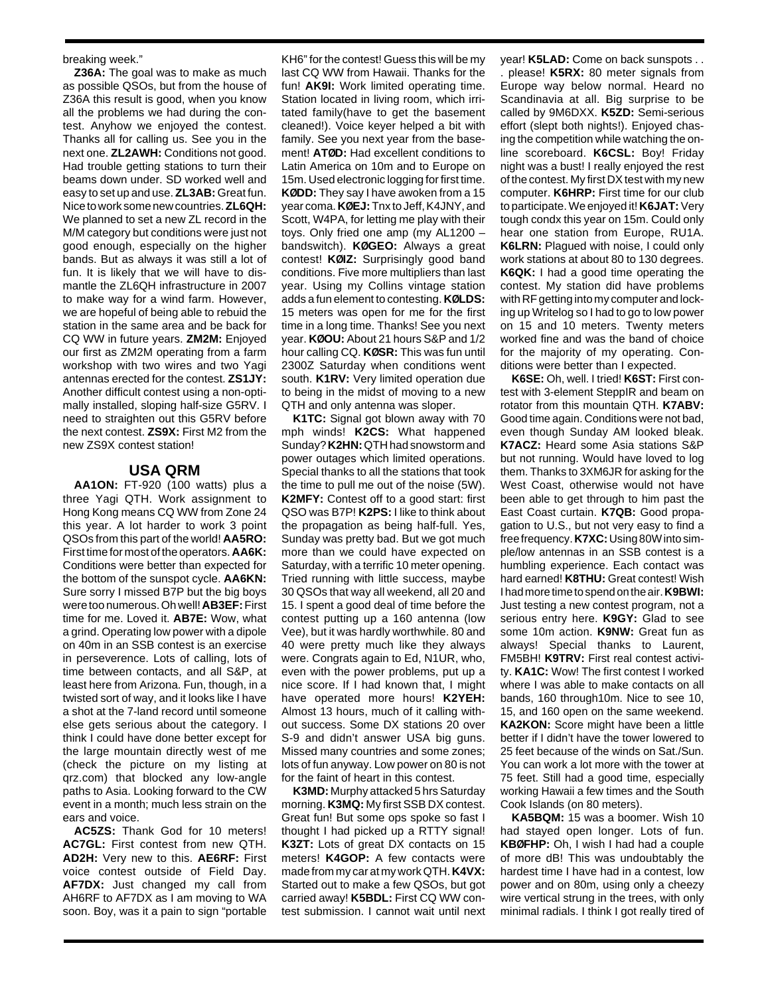breaking week."

**Z36A:** The goal was to make as much as possible QSOs, but from the house of Z36A this result is good, when you know all the problems we had during the contest. Anyhow we enjoyed the contest. Thanks all for calling us. See you in the next one. **ZL2AWH:** Conditions not good. Had trouble getting stations to turn their beams down under. SD worked well and easy to set up and use. **ZL3AB:** Great fun. Nice to work some new countries. **ZL6QH:** We planned to set a new ZL record in the M/M category but conditions were just not good enough, especially on the higher bands. But as always it was still a lot of fun. It is likely that we will have to dismantle the ZL6QH infrastructure in 2007 to make way for a wind farm. However, we are hopeful of being able to rebuid the station in the same area and be back for CQ WW in future years. **ZM2M:** Enjoyed our first as ZM2M operating from a farm workshop with two wires and two Yagi antennas erected for the contest. **ZS1JY:** Another difficult contest using a non-optimally installed, sloping half-size G5RV. I need to straighten out this G5RV before the next contest. **ZS9X:** First M2 from the new ZS9X contest station!

## **USA QRM**

**AA1ON:** FT-920 (100 watts) plus a three Yagi QTH. Work assignment to Hong Kong means CQ WW from Zone 24 this year. A lot harder to work 3 point QSOs from this part of the world! **AA5RO:** First time for most of the operators. **AA6K:** Conditions were better than expected for the bottom of the sunspot cycle. **AA6KN:** Sure sorry I missed B7P but the big boys were too numerous. Oh well! **AB3EF:**First time for me. Loved it. **AB7E:** Wow, what a grind. Operating low power with a dipole on 40m in an SSB contest is an exercise in perseverence. Lots of calling, lots of time between contacts, and all S&P, at least here from Arizona. Fun, though, in a twisted sort of way, and it looks like I have a shot at the 7-land record until someone else gets serious about the category. I think I could have done better except for the large mountain directly west of me (check the picture on my listing at qrz.com) that blocked any low-angle paths to Asia. Looking forward to the CW event in a month; much less strain on the ears and voice.

**AC5ZS:** Thank God for 10 meters! **AC7GL:** First contest from new QTH. **AD2H:** Very new to this. **AE6RF:** First voice contest outside of Field Day. **AF7DX:** Just changed my call from AH6RF to AF7DX as I am moving to WA soon. Boy, was it a pain to sign "portable

KH6" for the contest! Guess this will be my last CQ WW from Hawaii. Thanks for the fun! **AK9I:** Work limited operating time. Station located in living room, which irritated family(have to get the basement cleaned!). Voice keyer helped a bit with family. See you next year from the basement! **ATØD:** Had excellent conditions to Latin America on 10m and to Europe on 15m. Used electronic logging for first time. **KØDD:** They say I have awoken from a 15 year coma. **KØEJ:**Tnx to Jeff, K4JNY, and Scott, W4PA, for letting me play with their toys. Only fried one amp (my AL1200 – bandswitch). **KØGEO:** Always a great contest! **KØIZ:** Surprisingly good band conditions. Five more multipliers than last year. Using my Collins vintage station adds a fun element to contesting. **KØLDS:** 15 meters was open for me for the first time in a long time. Thanks! See you next year. **KØOU:** About 21 hours S&P and 1/2 hour calling CQ. **KØSR:** This was fun until 2300Z Saturday when conditions went south. **K1RV:** Very limited operation due to being in the midst of moving to a new QTH and only antenna was sloper.

**K1TC:** Signal got blown away with 70 mph winds! **K2CS:** What happened Sunday? **K2HN:**QTH had snowstorm and power outages which limited operations. Special thanks to all the stations that took the time to pull me out of the noise (5W). **K2MFY:** Contest off to a good start: first QSO was B7P! **K2PS:** I like to think about the propagation as being half-full. Yes, Sunday was pretty bad. But we got much more than we could have expected on Saturday, with a terrific 10 meter opening. Tried running with little success, maybe 30 QSOs that way all weekend, all 20 and 15. I spent a good deal of time before the contest putting up a 160 antenna (low Vee), but it was hardly worthwhile. 80 and 40 were pretty much like they always were. Congrats again to Ed, N1UR, who, even with the power problems, put up a nice score. If I had known that, I might have operated more hours! **K2YEH:** Almost 13 hours, much of it calling without success. Some DX stations 20 over S-9 and didn't answer USA big guns. Missed many countries and some zones; lots of fun anyway. Low power on 80 is not for the faint of heart in this contest.

**K3MD:** Murphy attacked 5 hrs Saturday morning. **K3MQ:** My first SSB DX contest. Great fun! But some ops spoke so fast I thought I had picked up a RTTY signal! **K3ZT:** Lots of great DX contacts on 15 meters! **K4GOP:** A few contacts were made from my car at my work QTH. **K4VX:** Started out to make a few QSOs, but got carried away! **K5BDL:** First CQ WW contest submission. I cannot wait until next year! **K5LAD:** Come on back sunspots . . . please! **K5RX:** 80 meter signals from Europe way below normal. Heard no Scandinavia at all. Big surprise to be called by 9M6DXX. **K5ZD:** Semi-serious effort (slept both nights!). Enjoyed chasing the competition while watching the online scoreboard. **K6CSL:** Boy! Friday night was a bust! I really enjoyed the rest of the contest. My first DX test with my new computer. **K6HRP:** First time for our club to participate. We enjoyed it! **K6JAT:**Very tough condx this year on 15m. Could only hear one station from Europe, RU1A. **K6LRN:** Plagued with noise, I could only work stations at about 80 to 130 degrees. **K6QK:** I had a good time operating the contest. My station did have problems with RF getting into my computer and locking up Writelog so I had to go to low power on 15 and 10 meters. Twenty meters worked fine and was the band of choice for the majority of my operating. Conditions were better than I expected.

**K6SE:** Oh, well. I tried! **K6ST:** First contest with 3-element SteppIR and beam on rotator from this mountain QTH. **K7ABV:** Good time again. Conditions were not bad, even though Sunday AM looked bleak. **K7ACZ:** Heard some Asia stations S&P but not running. Would have loved to log them. Thanks to 3XM6JR for asking for the West Coast, otherwise would not have been able to get through to him past the East Coast curtain. **K7QB:** Good propagation to U.S., but not very easy to find a free frequency. **K7XC:** Using 80W into simple/low antennas in an SSB contest is a humbling experience. Each contact was hard earned! **K8THU:** Great contest! Wish I had more time to spend on the air. **K9BWI:** Just testing a new contest program, not a serious entry here. **K9GY:** Glad to see some 10m action. **K9NW:** Great fun as always! Special thanks to Laurent, FM5BH! **K9TRV:** First real contest activity. **KA1C:** Wow! The first contest I worked where I was able to make contacts on all bands, 160 through10m. Nice to see 10, 15, and 160 open on the same weekend. **KA2KON:** Score might have been a little better if I didn't have the tower lowered to 25 feet because of the winds on Sat./Sun. You can work a lot more with the tower at 75 feet. Still had a good time, especially working Hawaii a few times and the South Cook Islands (on 80 meters).

**KA5BQM:** 15 was a boomer. Wish 10 had stayed open longer. Lots of fun. **KBØFHP:** Oh, I wish I had had a couple of more dB! This was undoubtably the hardest time I have had in a contest, low power and on 80m, using only a cheezy wire vertical strung in the trees, with only minimal radials. I think I got really tired of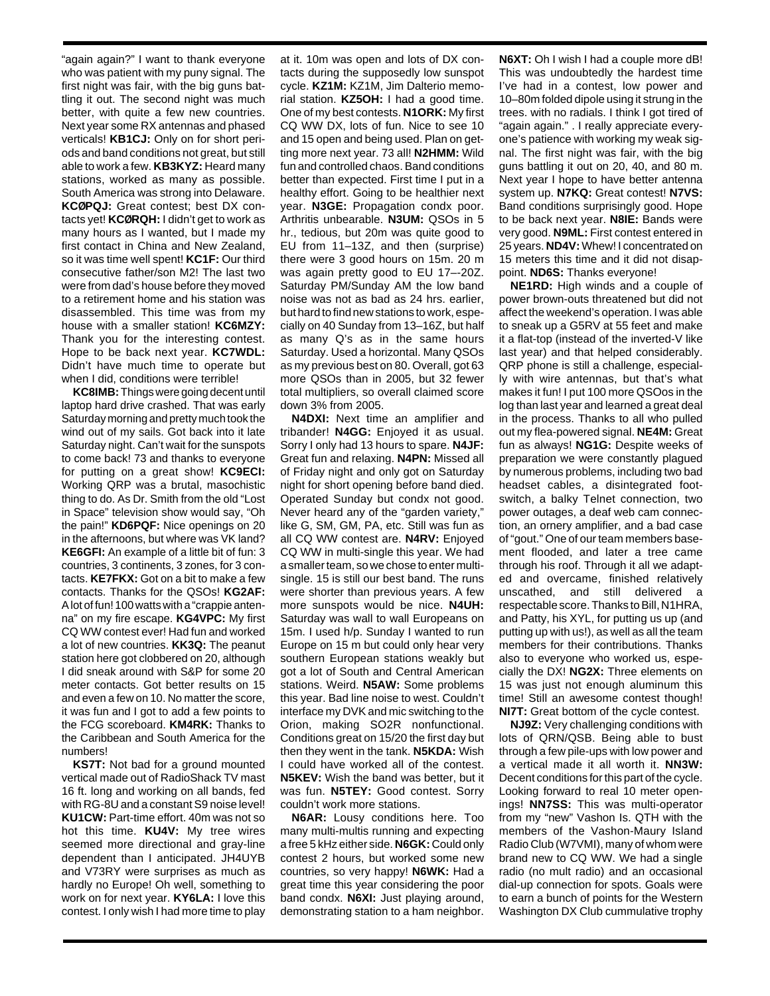"again again?" I want to thank everyone who was patient with my puny signal. The first night was fair, with the big guns battling it out. The second night was much better, with quite a few new countries. Next year some RX antennas and phased verticals! **KB1CJ:** Only on for short periods and band conditions not great, but still able to work a few. **KB3KYZ:** Heard many stations, worked as many as possible. South America was strong into Delaware. **KCØPQJ:** Great contest; best DX contacts yet! **KCØRQH:** I didn't get to work as many hours as I wanted, but I made my first contact in China and New Zealand, so it was time well spent! **KC1F:** Our third consecutive father/son M2! The last two were from dad's house before they moved to a retirement home and his station was disassembled. This time was from my house with a smaller station! **KC6MZY:** Thank you for the interesting contest. Hope to be back next year. **KC7WDL:** Didn't have much time to operate but when I did, conditions were terrible!

**KC8IMB:**Things were going decent until laptop hard drive crashed. That was early Saturday morning and pretty much took the wind out of my sails. Got back into it late Saturday night. Can't wait for the sunspots to come back! 73 and thanks to everyone for putting on a great show! **KC9ECI:** Working QRP was a brutal, masochistic thing to do. As Dr. Smith from the old "Lost in Space" television show would say, "Oh the pain!" **KD6PQF:** Nice openings on 20 in the afternoons, but where was VK land? **KE6GFI:** An example of a little bit of fun: 3 countries, 3 continents, 3 zones, for 3 contacts. **KE7FKX:** Got on a bit to make a few contacts. Thanks for the QSOs! **KG2AF:** A lot of fun! 100 watts with a "crappie antenna" on my fire escape. **KG4VPC:** My first CQ WW contest ever! Had fun and worked a lot of new countries. **KK3Q:** The peanut station here got clobbered on 20, although I did sneak around with S&P for some 20 meter contacts. Got better results on 15 and even a few on 10. No matter the score, it was fun and I got to add a few points to the FCG scoreboard. **KM4RK:** Thanks to the Caribbean and South America for the numbers!

**KS7T:** Not bad for a ground mounted vertical made out of RadioShack TV mast 16 ft. long and working on all bands, fed with RG-8U and a constant S9 noise level! **KU1CW:** Part-time effort. 40m was not so hot this time. **KU4V:** My tree wires seemed more directional and gray-line dependent than I anticipated. JH4UYB and V73RY were surprises as much as hardly no Europe! Oh well, something to work on for next year. **KY6LA:** I love this contest. I only wish I had more time to play

at it. 10m was open and lots of DX contacts during the supposedly low sunspot cycle. **KZ1M:** KZ1M, Jim Dalterio memorial station. **KZ5OH:** I had a good time. One of my best contests. **N1ORK:** My first CQ WW DX, lots of fun. Nice to see 10 and 15 open and being used. Plan on getting more next year. 73 all! **N2HMM:** Wild fun and controlled chaos. Band conditions better than expected. First time I put in a healthy effort. Going to be healthier next year. **N3GE:** Propagation condx poor. Arthritis unbearable. **N3UM:** QSOs in 5 hr., tedious, but 20m was quite good to EU from 11–13Z, and then (surprise) there were 3 good hours on 15m. 20 m was again pretty good to EU 17–-20Z. Saturday PM/Sunday AM the low band noise was not as bad as 24 hrs. earlier, but hard to find new stations to work, especially on 40 Sunday from 13–16Z, but half as many Q's as in the same hours Saturday. Used a horizontal. Many QSOs as my previous best on 80. Overall, got 63 more QSOs than in 2005, but 32 fewer total multipliers, so overall claimed score down 3% from 2005.

**N4DXI:** Next time an amplifier and tribander! **N4GG:** Enjoyed it as usual. Sorry I only had 13 hours to spare. **N4JF:** Great fun and relaxing. **N4PN:** Missed all of Friday night and only got on Saturday night for short opening before band died. Operated Sunday but condx not good. Never heard any of the "garden variety," like G, SM, GM, PA, etc. Still was fun as all CQ WW contest are. **N4RV:** Enjoyed CQ WW in multi-single this year. We had a smaller team, so we chose to enter multisingle. 15 is still our best band. The runs were shorter than previous years. A few more sunspots would be nice. **N4UH:** Saturday was wall to wall Europeans on 15m. I used h/p. Sunday I wanted to run Europe on 15 m but could only hear very southern European stations weakly but got a lot of South and Central American stations. Weird. **N5AW:** Some problems this year. Bad line noise to west. Couldn't interface my DVK and mic switching to the Orion, making SO2R nonfunctional. Conditions great on 15/20 the first day but then they went in the tank. **N5KDA:** Wish I could have worked all of the contest. **N5KEV:** Wish the band was better, but it was fun. **N5TEY:** Good contest. Sorry couldn't work more stations.

**N6AR:** Lousy conditions here. Too many multi-multis running and expecting a free 5 kHz either side. **N6GK:** Could only contest 2 hours, but worked some new countries, so very happy! **N6WK:** Had a great time this year considering the poor band condx. **N6XI:** Just playing around, demonstrating station to a ham neighbor.

**N6XT:** Oh I wish I had a couple more dB! This was undoubtedly the hardest time I've had in a contest, low power and 10–80m folded dipole using it strung in the trees. with no radials. I think I got tired of "again again." . I really appreciate everyone's patience with working my weak signal. The first night was fair, with the big guns battling it out on 20, 40, and 80 m. Next year I hope to have better antenna system up. **N7KQ:** Great contest! **N7VS:** Band conditions surprisingly good. Hope to be back next year. **N8IE:** Bands were very good. **N9ML:** First contest entered in 25 years. **ND4V:**Whew! I concentrated on 15 meters this time and it did not disappoint. **ND6S:** Thanks everyone!

**NE1RD:** High winds and a couple of power brown-outs threatened but did not affect the weekend's operation. I was able to sneak up a G5RV at 55 feet and make it a flat-top (instead of the inverted-V like last year) and that helped considerably. QRP phone is still a challenge, especially with wire antennas, but that's what makes it fun! I put 100 more QSOos in the log than last year and learned a great deal in the process. Thanks to all who pulled out my flea-powered signal. **NE4M:** Great fun as always! **NG1G:** Despite weeks of preparation we were constantly plagued by numerous problems, including two bad headset cables, a disintegrated footswitch, a balky Telnet connection, two power outages, a deaf web cam connection, an ornery amplifier, and a bad case of "gout." One of our team members basement flooded, and later a tree came through his roof. Through it all we adapted and overcame, finished relatively unscathed, and still delivered a respectable score. Thanks to Bill, N1HRA, and Patty, his XYL, for putting us up (and putting up with us!), as well as all the team members for their contributions. Thanks also to everyone who worked us, especially the DX! **NG2X:** Three elements on 15 was just not enough aluminum this time! Still an awesome contest though! **NI7T:** Great bottom of the cycle contest.

**NJ9Z:** Very challenging conditions with lots of QRN/QSB. Being able to bust through a few pile-ups with low power and a vertical made it all worth it. **NN3W:** Decent conditions for this part of the cycle. Looking forward to real 10 meter openings! **NN7SS:** This was multi-operator from my "new" Vashon Is. QTH with the members of the Vashon-Maury Island Radio Club (W7VMI), many of whom were brand new to CQ WW. We had a single radio (no mult radio) and an occasional dial-up connection for spots. Goals were to earn a bunch of points for the Western Washington DX Club cummulative trophy